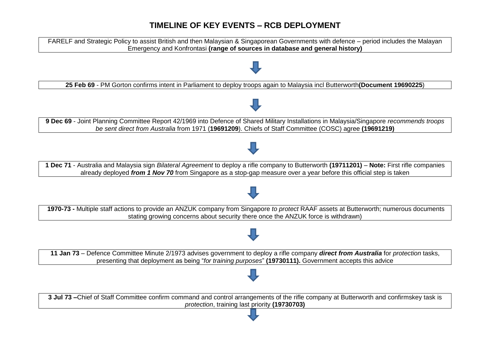## **TIMELINE OF KEY EVENTS – RCB DEPLOYMENT**